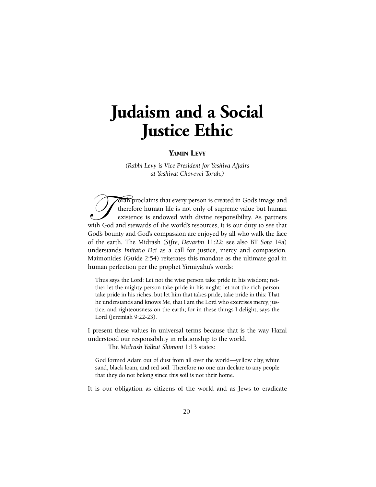# **Judaism and a Social Justice** Ethic

## YAMIN LEVY

*(Rabbi Levy is Vice President for Yeshiva Affairs at Yeshivat Chovevei Torah.*)

orah proclaims that every person is created in God's image and therefore human life is not only of supreme value but human existence is endowed with divine responsibility. As partners with God and stewards of the world's resources, it is our duty to see that God's bounty and God's compassion are enjoyed by all who walk the face of the earth. The Midrash (*Sifre*, *Devarim 11:22*; see also BT *Sota 14a*) understands *Imitatio Dei* as a call for justice, mercy and compassion. Maimonides (Guide 2:54) reiterates this mandate as the ultimate goal in human perfection per the prophet Yirmiyahu's words:

Thus says the Lord: Let not the wise person take pride in his wisdom; neither let the mighty person take pride in his might; let not the rich person take pride in his riches; but let him that takes pride, take pride in this: That he understands and knows Me, that I am the Lord who exercises mercy, justice, and righteousness on the earth; for in these things I delight, says the Lord (Jeremiah 9:22-23).

I present these values in universal terms because that is the way Hazal understood our responsibility in relationship to the world.

The *Midrash Yalkut Shimoni* 1:13 states:

God formed Adam out of dust from all over the world—yellow clay, white sand, black loam, and red soil. Therefore no one can declare to any people that they do not belong since this soil is not their home.

It is our obligation as citizens of the world and as Jews to eradicate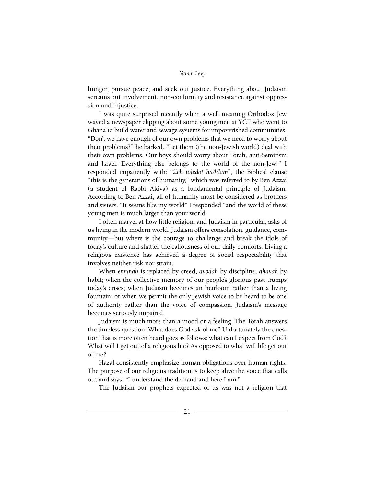#### *Yamin Levy*

hunger, pursue peace, and seek out justice. Everything about Judaism screams out involvement, non-conformity and resistance against oppression and injustice.

I was quite surprised recently when a well meaning Orthodox Jew waved a newspaper clipping about some young men at YCT who went to Ghana to build water and sewage systems for impoverished communities. "Don't we have enough of our own problems that we need to worry about their problems?" he barked. "Let them (the non-Jewish world) deal with their own problems. Our boys should worry about Torah, anti-Semitism and Israel. Everything else belongs to the world of the non-Jew!" I responded impatiently with: "*Zeh toledot haAdam*", the Biblical clause "this is the generations of humanity," which was referred to by Ben Azzai (a student of Rabbi Akiva) as a fundamental principle of Judaism. According to Ben Azzai, all of humanity must be considered as brothers and sisters. "It seems like my world" I responded "and the world of these young men is much larger than your world."

I often marvel at how little religion, and Judaism in particular, asks of usliving in the modern world. Judaism offers consolation, guidance, community—but where is the courage to challenge and break the idols of today's culture and shatter the callousness of our daily comforts. Living a religious existence has achieved a degree of social respectability that involves neither risk nor strain.

When *emunah* is replaced by creed, *avodah* by discipline, *ahavah* by habit; when the collective memory of our people's glorious past trumps today's crises; when Judaism becomes an heirloom rather than a living fountain; or when we permit the only Jewish voice to be heard to be one of authority rather than the voice of compassion, Judaism's message becomes seriously impaired.

Judaism is much more than a mood or a feeling. The Torah answers the timeless question: What does God ask of me? Unfortunately the question that is more often heard goes as follows: what can I expect from God? What will I get out of a religious life? As opposed to what will life get out of me?

Hazal consistently emphasize human obligations over human rights. The purpose of our religious tradition is to keep alive the voice that calls out and says: "I understand the demand and here I am."

The Judaism our prophets expected of us was not a religion that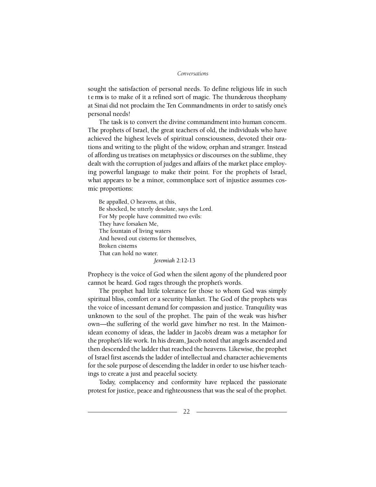## *Conversations*

sought the satisfaction of personal needs. To define religious life in such t e rms is to make of it a refined sort of magic. The thunderous theophany at Sinai did not proclaim the Ten Commandments in order to satisfy one's personal needs!

The task is to convert the divine commandment into human concern. The prophets of Israel, the great teachers of old, the individuals who have achieved the highest levels of spiritual consciousness, devoted their orations and writing to the plight of the widow, orphan and stranger. Instead of affording us treatises on metaphysics or discourses on the sublime, they dealt with the corruption of judges and affairs of the market place employing powerful language to make their point. For the prophets of Israel, what appears to be a minor, commonplace sort of injustice assumes cosmic proportions:

Be appalled, O heavens, at this, Be shocked, be utterly desolate, says the Lord. For My people have committed two evils: They have forsaken Me, The fountain of living waters And hewed out cisterns for themselves, Broken cisterns That can hold no water. *Jeremiah* 2:12-13

Prophecy is the voice of God when the silent agony of the plundered poor cannot be heard. God rages through the prophet's words.

The prophet had little tolerance for those to whom God was simply spiritual bliss, comfort or a security blanket. The God of the prophets was the voice of incessant demand for compassion and justice. Tranquility was unknown to the soul of the prophet. The pain of the weak was his/her own—the suffering of the world gave him/her no rest. In the Maimonidean economy of ideas, the ladder in Jacob's dream was a metaphor for the prophet's life work. In his dream, Jacob noted that angels ascended and then descended the ladder that reached the heavens. Likewise, the prophet of Israel first ascends the ladder of intellectual and character achievements for the sole purpose of descending the ladder in order to use his/her teachings to create a just and peaceful society.

Today, complacency and conformity have replaced the passionate protest for justice, peace and righteousness that was the seal of the prophet.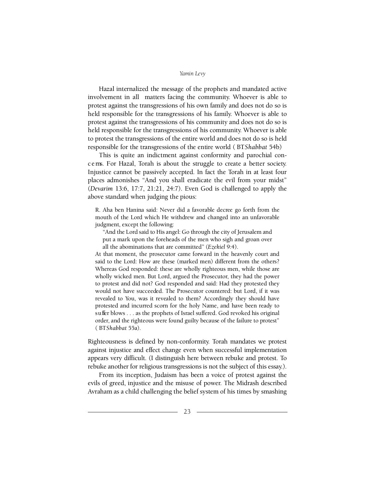#### *Yamin Levy*

Hazal internalized the message of the prophets and mandated active involvement in all matters facing the community. Whoever is able to p rotest against the transgressions of his own family and does not do so is held responsible for the transgressions of his family. Whoever is able to p rotest against the transgressions of his community and does not do so is held responsible for the transgressions of his community. Whoever is able to protest the transgressions of the entire world and does not do so is held responsible for the transgressions of the entire world (BTShabbat 54b)

This is quite an indictment against conformity and parochial conc e rns. For Hazal, Torah is about the struggle to create a better society. Injustice cannot be passively accepted. In fact the Torah in at least four places admonishes "And you shall eradicate the evil from your midst" (*Devarim* 13:6, 17:7, 21:21, 24:7). Even God is challenged to apply the above standard when judging the pious:

R. Aha ben Hanina said: Never did a favorable decree go forth from the mouth of the Lord which He withdrew and changed into an unfavorable judgment, except the following:

"And the Lord said to His angel: Go through the city of Jerusalem and put a mark upon the foreheads of the men who sigh and groan over all the abominations that are committed" (*Ezekiel* 9:4).

At that moment, the prosecutor came forward in the heavenly court and said to the Lord: How are these (marked men) different from the others? Whereas God responded: these are wholly righteous men, while those are wholly wicked men. But Lord, argued the Prosecutor, they had the power to protest and did not? God responded and said: Had they protested they would not have succeeded. The Prosecutor countered: but Lord, if it was revealed to You, was it revealed to them? Accordingly they should have protested and incurred scorn for the holy Name, and have been ready to suffer blows . . . as the prophets of Israel suffered. God revoked his original order, and the righteous were found guilty because of the failure to protest" (BTShabbat 55a).

Righteousness is defined by non-conformity. Torah mandates we protest against injustice and effect change even when successful implementation appears very difficult. (I distinguish here between rebuke and protest. To rebuke another for religious transgressions is not the subject of this essay.).

From its inception, Judaism has been a voice of protest against the evils of greed, injustice and the misuse of power. The Midrash described Avraham as a child challenging the belief system of his times by smashing